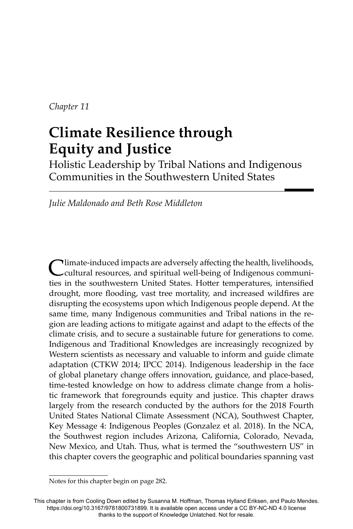*Chapter 11*

# **Climate Resilience through Equity and Justice**

Holistic Leadership by Tribal Nations and Indigenous Communities in the Southwestern United States

*Julie Maldonado and Beth Rose Middleton*

Climate-induced impacts are adversely affecting the health, livelihoods, cultural resources, and spiritual well-being of Indigenous communities in the southwestern United States. Hotter temperatures, intensified drought, more flooding, vast tree mortality, and increased wildfires are disrupting the ecosystems upon which Indigenous people depend. At the same time, many Indigenous communities and Tribal nations in the region are leading actions to mitigate against and adapt to the effects of the climate crisis, and to secure a sustainable future for generations to come. Indigenous and Traditional Knowledges are increasingly recognized by Western scientists as necessary and valuable to inform and guide climate adaptation (CTKW 2014; IPCC 2014). Indigenous leadership in the face of global planetary change offers innovation, guidance, and place-based, time-tested knowledge on how to address climate change from a holistic framework that foregrounds equity and justice. This chapter draws largely from the research conducted by the authors for the 2018 Fourth United States National Climate Assessment (NCA), Southwest Chapter, Key Message 4: Indigenous Peoples (Gonzalez et al. 2018). In the NCA, the Southwest region includes Arizona, California, Colorado, Nevada, New Mexico, and Utah. Thus, what is termed the "southwestern US" in this chapter covers the geographic and political boundaries spanning vast

Notes for this chapter begin on page 282.

This chapter is from Cooling Down edited by Susanna M. Hoffman, Thomas Hylland Eriksen, and Paulo Mendes. https://doi.org/10.3167/9781800731899. It is available open access under a CC BY-NC-ND 4.0 license thanks to the support of Knowledge Unlatched. Not for resale.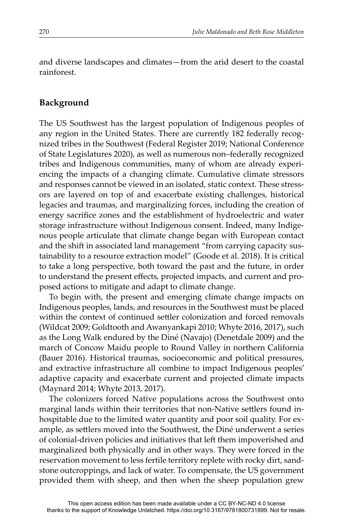and diverse landscapes and climates—from the arid desert to the coastal rainforest.

### **Background**

The US Southwest has the largest population of Indigenous peoples of any region in the United States. There are currently 182 federally recognized tribes in the Southwest (Federal Register 2019; National Conference of State Legislatures 2020), as well as numerous non–federally recognized tribes and Indigenous communities, many of whom are already experiencing the impacts of a changing climate. Cumulative climate stressors and responses cannot be viewed in an isolated, static context. These stressors are layered on top of and exacerbate existing challenges, historical legacies and traumas, and marginalizing forces, including the creation of energy sacrifice zones and the establishment of hydroelectric and water storage infrastructure without Indigenous consent. Indeed, many Indigenous people articulate that climate change began with European contact and the shift in associated land management "from carrying capacity sustainability to a resource extraction model" (Goode et al. 2018). It is critical to take a long perspective, both toward the past and the future, in order to understand the present effects, projected impacts, and current and proposed actions to mitigate and adapt to climate change.

To begin with, the present and emerging climate change impacts on Indigenous peoples, lands, and resources in the Southwest must be placed within the context of continued settler colonization and forced removals (Wildcat 2009; Goldtooth and Awanyankapi 2010; Whyte 2016, 2017), such as the Long Walk endured by the Diné (Navajo) (Denetdale 2009) and the march of Concow Maidu people to Round Valley in northern California (Bauer 2016). Historical traumas, socioeconomic and political pressures, and extractive infrastructure all combine to impact Indigenous peoples' adaptive capacity and exacerbate current and projected climate impacts (Maynard 2014; Whyte 2013, 2017).

The colonizers forced Native populations across the Southwest onto marginal lands within their territories that non-Native settlers found inhospitable due to the limited water quantity and poor soil quality. For example, as settlers moved into the Southwest, the Diné underwent a series of colonial-driven policies and initiatives that left them impoverished and marginalized both physically and in other ways. They were forced in the reservation movement to less fertile territory replete with rocky dirt, sandstone outcroppings, and lack of water. To compensate, the US government provided them with sheep, and then when the sheep population grew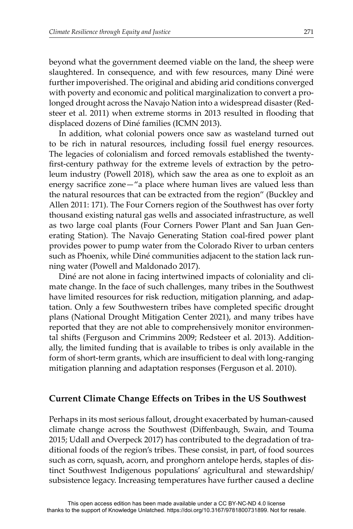beyond what the government deemed viable on the land, the sheep were slaughtered. In consequence, and with few resources, many Diné were further impoverished. The original and abiding arid conditions converged with poverty and economic and political marginalization to convert a prolonged drought across the Navajo Nation into a widespread disaster (Redsteer et al. 2011) when extreme storms in 2013 resulted in flooding that displaced dozens of Diné families (ICMN 2013).

In addition, what colonial powers once saw as wasteland turned out to be rich in natural resources, including fossil fuel energy resources. The legacies of colonialism and forced removals established the twentyfirst-century pathway for the extreme levels of extraction by the petroleum industry (Powell 2018), which saw the area as one to exploit as an energy sacrifice zone $-$ "a place where human lives are valued less than the natural resources that can be extracted from the region" (Buckley and Allen 2011: 171). The Four Corners region of the Southwest has over forty thousand existing natural gas wells and associated infrastructure, as well as two large coal plants (Four Corners Power Plant and San Juan Generating Station). The Navajo Generating Station coal-fired power plant provides power to pump water from the Colorado River to urban centers such as Phoenix, while Diné communities adjacent to the station lack running water (Powell and Maldonado 2017).

Diné are not alone in facing intertwined impacts of coloniality and climate change. In the face of such challenges, many tribes in the Southwest have limited resources for risk reduction, mitigation planning, and adaptation. Only a few Southwestern tribes have completed specific drought plans (National Drought Mitigation Center 2021), and many tribes have reported that they are not able to comprehensively monitor environmental shifts (Ferguson and Crimmins 2009; Redsteer et al. 2013). Additionally, the limited funding that is available to tribes is only available in the form of short-term grants, which are insufficient to deal with long-ranging mitigation planning and adaptation responses (Ferguson et al. 2010).

#### **Current Climate Change Effects on Tribes in the US Southwest**

Perhaps in its most serious fallout, drought exacerbated by human-caused climate change across the Southwest (Diffenbaugh, Swain, and Touma 2015; Udall and Overpeck 2017) has contributed to the degradation of traditional foods of the region's tribes. These consist, in part, of food sources such as corn, squash, acorn, and pronghorn antelope herds, staples of distinct Southwest Indigenous populations' agricultural and stewardship/ subsistence legacy. Increasing temperatures have further caused a decline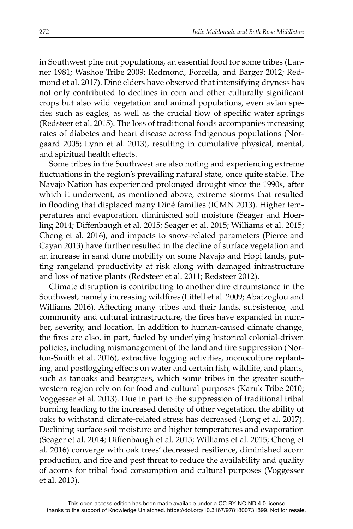in Southwest pine nut populations, an essential food for some tribes (Lanner 1981; Washoe Tribe 2009; Redmond, Forcella, and Barger 2012; Redmond et al. 2017). Diné elders have observed that intensifying dryness has not only contributed to declines in corn and other culturally significant crops but also wild vegetation and animal populations, even avian species such as eagles, as well as the crucial flow of specific water springs (Redsteer et al. 2015). The loss of traditional foods accompanies increasing rates of diabetes and heart disease across Indigenous populations (Norgaard 2005; Lynn et al. 2013), resulting in cumulative physical, mental, and spiritual health effects.

Some tribes in the Southwest are also noting and experiencing extreme fluctuations in the region's prevailing natural state, once quite stable. The Navajo Nation has experienced prolonged drought since the 1990s, after which it underwent, as mentioned above, extreme storms that resulted in flooding that displaced many Diné families (ICMN 2013). Higher temperatures and evaporation, diminished soil moisture (Seager and Hoerling 2014; Diffenbaugh et al. 2015; Seager et al. 2015; Williams et al. 2015; Cheng et al. 2016), and impacts to snow-related parameters (Pierce and Cayan 2013) have further resulted in the decline of surface vegetation and an increase in sand dune mobility on some Navajo and Hopi lands, putting rangeland productivity at risk along with damaged infrastructure and loss of native plants (Redsteer et al. 2011; Redsteer 2012).

Climate disruption is contributing to another dire circumstance in the Southwest, namely increasing wildfires (Littell et al. 2009; Abatzoglou and Williams 2016). Affecting many tribes and their lands, subsistence, and community and cultural infrastructure, the fires have expanded in number, severity, and location. In addition to human-caused climate change, the fires are also, in part, fueled by underlying historical colonial-driven policies, including mismanagement of the land and fire suppression (Norton-Smith et al. 2016), extractive logging activities, monoculture replanting, and postlogging effects on water and certain fish, wildlife, and plants, such as tanoaks and beargrass, which some tribes in the greater southwestern region rely on for food and cultural purposes (Karuk Tribe 2010; Voggesser et al. 2013). Due in part to the suppression of traditional tribal burning leading to the increased density of other vegetation, the ability of oaks to withstand climate-related stress has decreased (Long et al. 2017). Declining surface soil moisture and higher temperatures and evaporation (Seager et al. 2014; Diffenbaugh et al. 2015; Williams et al. 2015; Cheng et al. 2016) converge with oak trees' decreased resilience, diminished acorn production, and fire and pest threat to reduce the availability and quality of acorns for tribal food consumption and cultural purposes (Voggesser et al. 2013).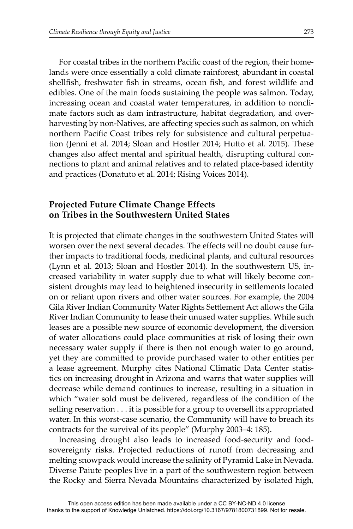For coastal tribes in the northern Pacific coast of the region, their homelands were once essentially a cold climate rainforest, abundant in coastal shellfish, freshwater fish in streams, ocean fish, and forest wildlife and edibles. One of the main foods sustaining the people was salmon. Today, increasing ocean and coastal water temperatures, in addition to nonclimate factors such as dam infrastructure, habitat degradation, and overharvesting by non-Natives, are affecting species such as salmon, on which northern Pacific Coast tribes rely for subsistence and cultural perpetuation (Jenni et al. 2014; Sloan and Hostler 2014; Hutto et al. 2015). These changes also affect mental and spiritual health, disrupting cultural connections to plant and animal relatives and to related place-based identity and practices (Donatuto et al. 2014; Rising Voices 2014).

## **Projected Future Climate Change Effects on Tribes in the Southwestern United States**

It is projected that climate changes in the southwestern United States will worsen over the next several decades. The effects will no doubt cause further impacts to traditional foods, medicinal plants, and cultural resources (Lynn et al. 2013; Sloan and Hostler 2014). In the southwestern US, increased variability in water supply due to what will likely become consistent droughts may lead to heightened insecurity in settlements located on or reliant upon rivers and other water sources. For example, the 2004 Gila River Indian Community Water Rights Settlement Act allows the Gila River Indian Community to lease their unused water supplies. While such leases are a possible new source of economic development, the diversion of water allocations could place communities at risk of losing their own necessary water supply if there is then not enough water to go around, yet they are committed to provide purchased water to other entities per a lease agreement. Murphy cites National Climatic Data Center statistics on increasing drought in Arizona and warns that water supplies will decrease while demand continues to increase, resulting in a situation in which "water sold must be delivered, regardless of the condition of the selling reservation . . . it is possible for a group to oversell its appropriated water. In this worst-case scenario, the Community will have to breach its contracts for the survival of its people" (Murphy 2003–4: 185).

Increasing drought also leads to increased food-security and foodsovereignty risks. Projected reductions of runoff from decreasing and melting snowpack would increase the salinity of Pyramid Lake in Nevada. Diverse Paiute peoples live in a part of the southwestern region between the Rocky and Sierra Nevada Mountains characterized by isolated high,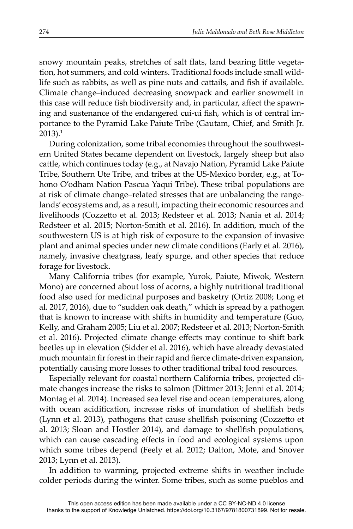snowy mountain peaks, stretches of salt flats, land bearing little vegetation, hot summers, and cold winters. Traditional foods include small wildlife such as rabbits, as well as pine nuts and cattails, and fish if available. Climate change–induced decreasing snowpack and earlier snowmelt in this case will reduce fish biodiversity and, in particular, affect the spawning and sustenance of the endangered cui-ui fish, which is of central importance to the Pyramid Lake Paiute Tribe (Gautam, Chief, and Smith Jr.  $2013$ ).<sup>1</sup>

During colonization, some tribal economies throughout the southwestern United States became dependent on livestock, largely sheep but also cattle, which continues today (e.g., at Navajo Nation, Pyramid Lake Paiute Tribe, Southern Ute Tribe, and tribes at the US-Mexico border, e.g., at Tohono O'odham Nation Pascua Yaqui Tribe). These tribal populations are at risk of climate change–related stresses that are unbalancing the rangelands' ecosystems and, as a result, impacting their economic resources and livelihoods (Cozzetto et al. 2013; Redsteer et al. 2013; Nania et al. 2014; Redsteer et al. 2015; Norton-Smith et al. 2016). In addition, much of the southwestern US is at high risk of exposure to the expansion of invasive plant and animal species under new climate conditions (Early et al. 2016), namely, invasive cheatgrass, leafy spurge, and other species that reduce forage for livestock.

Many California tribes (for example, Yurok, Paiute, Miwok, Western Mono) are concerned about loss of acorns, a highly nutritional traditional food also used for medicinal purposes and basketry (Ortiz 2008; Long et al. 2017, 2016), due to "sudden oak death," which is spread by a pathogen that is known to increase with shifts in humidity and temperature (Guo, Kelly, and Graham 2005; Liu et al. 2007; Redsteer et al. 2013; Norton-Smith et al. 2016). Projected climate change effects may continue to shift bark beetles up in elevation (Sidder et al. 2016), which have already devastated much mountain fir forest in their rapid and fierce climate-driven expansion, potentially causing more losses to other traditional tribal food resources.

Especially relevant for coastal northern California tribes, projected climate changes increase the risks to salmon (Diffmer 2013; Jenni et al. 2014; Montag et al. 2014). Increased sea level rise and ocean temperatures, along with ocean acidification, increase risks of inundation of shellfish beds (Lynn et al. 2013), pathogens that cause shellfish poisoning (Cozzetto et al. 2013; Sloan and Hostler 2014), and damage to shellfish populations, which can cause cascading effects in food and ecological systems upon which some tribes depend (Feely et al. 2012; Dalton, Mote, and Snover 2013; Lynn et al. 2013).

In addition to warming, projected extreme shifts in weather include colder periods during the winter. Some tribes, such as some pueblos and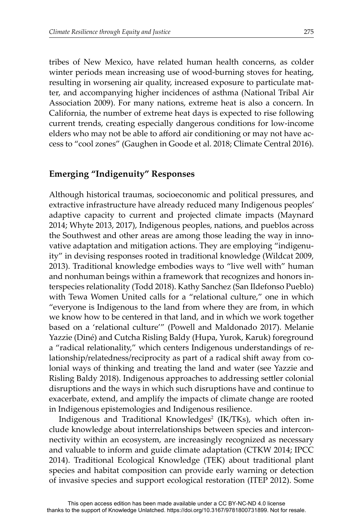tribes of New Mexico, have related human health concerns, as colder winter periods mean increasing use of wood-burning stoves for heating, resulting in worsening air quality, increased exposure to particulate matter, and accompanying higher incidences of asthma (National Tribal Air Association 2009). For many nations, extreme heat is also a concern. In California, the number of extreme heat days is expected to rise following current trends, creating especially dangerous conditions for low-income elders who may not be able to afford air conditioning or may not have access to "cool zones" (Gaughen in Goode et al. 2018; Climate Central 2016).

#### **Emerging "Indigenuity" Responses**

Although historical traumas, socioeconomic and political pressures, and extractive infrastructure have already reduced many Indigenous peoples' adaptive capacity to current and projected climate impacts (Maynard 2014; Whyte 2013, 2017), Indigenous peoples, nations, and pueblos across the Southwest and other areas are among those leading the way in innovative adaptation and mitigation actions. They are employing "indigenuity" in devising responses rooted in traditional knowledge (Wildcat 2009, 2013). Traditional knowledge embodies ways to "live well with" human and nonhuman beings within a framework that recognizes and honors interspecies relationality (Todd 2018). Kathy Sanchez (San Ildefonso Pueblo) with Tewa Women United calls for a "relational culture," one in which "everyone is Indigenous to the land from where they are from, in which we know how to be centered in that land, and in which we work together based on a 'relational culture'" (Powell and Maldonado 2017). Melanie Yazzie (Diné) and Cutcha Risling Baldy (Hupa, Yurok, Karuk) foreground a "radical relationality," which centers Indigenous understandings of relationship/relatedness/reciprocity as part of a radical shift away from colonial ways of thinking and treating the land and water (see Yazzie and Risling Baldy 2018). Indigenous approaches to addressing settler colonial disruptions and the ways in which such disruptions have and continue to exacerbate, extend, and amplify the impacts of climate change are rooted in Indigenous epistemologies and Indigenous resilience.

Indigenous and Traditional Knowledges<sup>2</sup> (IK/TKs), which often include knowledge about interrelationships between species and interconnectivity within an ecosystem, are increasingly recognized as necessary and valuable to inform and guide climate adaptation (CTKW 2014; IPCC 2014). Traditional Ecological Knowledge (TEK) about traditional plant species and habitat composition can provide early warning or detection of invasive species and support ecological restoration (ITEP 2012). Some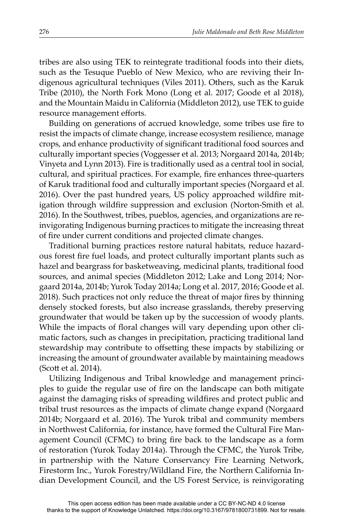tribes are also using TEK to reintegrate traditional foods into their diets, such as the Tesuque Pueblo of New Mexico, who are reviving their Indigenous agricultural techniques (Viles 2011). Others, such as the Karuk Tribe (2010), the North Fork Mono (Long et al. 2017; Goode et al 2018), and the Mountain Maidu in California (Middleton 2012), use TEK to guide resource management efforts.

Building on generations of accrued knowledge, some tribes use fire to resist the impacts of climate change, increase ecosystem resilience, manage crops, and enhance productivity of significant traditional food sources and culturally important species (Voggesser et al. 2013; Norgaard 2014a, 2014b; Vinyeta and Lynn 2013). Fire is traditionally used as a central tool in social, cultural, and spiritual practices. For example, fire enhances three-quarters of Karuk traditional food and culturally important species (Norgaard et al. 2016). Over the past hundred years, US policy approached wildfire mitigation through wildfire suppression and exclusion (Norton-Smith et al. 2016). In the Southwest, tribes, pueblos, agencies, and organizations are reinvigorating Indigenous burning practices to mitigate the increasing threat of fire under current conditions and projected climate changes.

Traditional burning practices restore natural habitats, reduce hazardous forest fire fuel loads, and protect culturally important plants such as hazel and beargrass for basketweaving, medicinal plants, traditional food sources, and animal species (Middleton 2012; Lake and Long 2014; Norgaard 2014a, 2014b; Yurok Today 2014a; Long et al. 2017, 2016; Goode et al. 2018). Such practices not only reduce the threat of major fires by thinning densely stocked forests, but also increase grasslands, thereby preserving groundwater that would be taken up by the succession of woody plants. While the impacts of floral changes will vary depending upon other climatic factors, such as changes in precipitation, practicing traditional land stewardship may contribute to offsetting these impacts by stabilizing or increasing the amount of groundwater available by maintaining meadows (Scott et al. 2014).

Utilizing Indigenous and Tribal knowledge and management principles to guide the regular use of fire on the landscape can both mitigate against the damaging risks of spreading wildfires and protect public and tribal trust resources as the impacts of climate change expand (Norgaard 2014b; Norgaard et al. 2016). The Yurok tribal and community members in Northwest California, for instance, have formed the Cultural Fire Management Council (CFMC) to bring fire back to the landscape as a form of restoration (Yurok Today 2014a). Through the CFMC, the Yurok Tribe, in partnership with the Nature Conservancy Fire Learning Network, Firestorm Inc., Yurok Forestry/Wildland Fire, the Northern California Indian Development Council, and the US Forest Service, is reinvigorating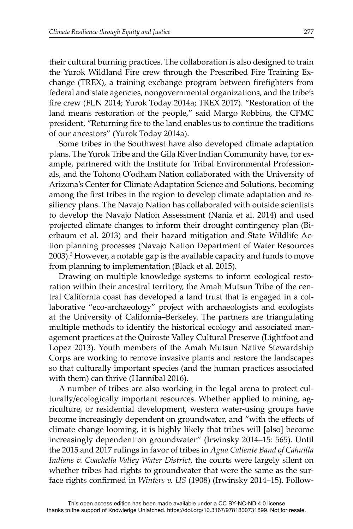their cultural burning practices. The collaboration is also designed to train the Yurok Wildland Fire crew through the Prescribed Fire Training Exchange (TREX), a training exchange program between firefighters from federal and state agencies, nongovernmental organizations, and the tribe's fire crew (FLN 2014; Yurok Today 2014a; TREX 2017). "Restoration of the land means restoration of the people," said Margo Robbins, the CFMC president. "Returning fire to the land enables us to continue the traditions of our ancestors" (Yurok Today 2014a).

Some tribes in the Southwest have also developed climate adaptation plans. The Yurok Tribe and the Gila River Indian Community have, for example, partnered with the Institute for Tribal Environmental Professionals, and the Tohono O'odham Nation collaborated with the University of Arizona's Center for Climate Adaptation Science and Solutions, becoming among the first tribes in the region to develop climate adaptation and resiliency plans. The Navajo Nation has collaborated with outside scientists to develop the Navajo Nation Assessment (Nania et al. 2014) and used projected climate changes to inform their drought contingency plan (Bierbaum et al. 2013) and their hazard mitigation and State Wildlife Action planning processes (Navajo Nation Department of Water Resources 2003).3 However, a notable gap is the available capacity and funds to move from planning to implementation (Black et al. 2015).

Drawing on multiple knowledge systems to inform ecological restoration within their ancestral territory, the Amah Mutsun Tribe of the central California coast has developed a land trust that is engaged in a collaborative "eco-archaeology" project with archaeologists and ecologists at the University of California–Berkeley. The partners are triangulating multiple methods to identify the historical ecology and associated management practices at the Quiroste Valley Cultural Preserve (Lightfoot and Lopez 2013). Youth members of the Amah Mutsun Native Stewardship Corps are working to remove invasive plants and restore the landscapes so that culturally important species (and the human practices associated with them) can thrive (Hannibal 2016).

A number of tribes are also working in the legal arena to protect culturally/ecologically important resources. Whether applied to mining, agriculture, or residential development, western water-using groups have become increasingly dependent on groundwater, and "with the effects of climate change looming, it is highly likely that tribes will [also] become increasingly dependent on groundwater" (Irwinsky 2014–15: 565). Until the 2015 and 2017 rulings in favor of tribes in *Agua Caliente Band of Cahuilla Indians v. Coachella Valley Water District*, the courts were largely silent on whether tribes had rights to groundwater that were the same as the surface rights confirmed in *Winters v. US* (1908) (Irwinsky 2014–15). Follow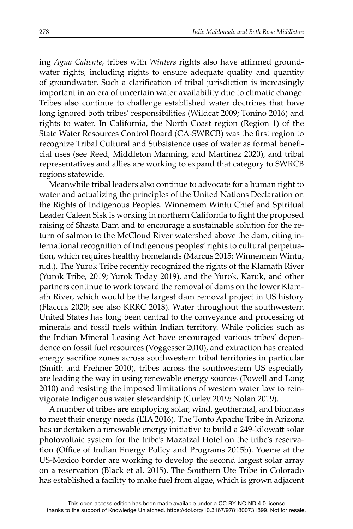ing *Agua Caliente*, tribes with *Winters* rights also have affirmed groundwater rights, including rights to ensure adequate quality and quantity of groundwater. Such a clarification of tribal jurisdiction is increasingly important in an era of uncertain water availability due to climatic change. Tribes also continue to challenge established water doctrines that have long ignored both tribes' responsibilities (Wildcat 2009; Tonino 2016) and rights to water. In California, the North Coast region (Region 1) of the State Water Resources Control Board (CA-SWRCB) was the first region to recognize Tribal Cultural and Subsistence uses of water as formal benefi cial uses (see Reed, Middleton Manning, and Martinez 2020), and tribal representatives and allies are working to expand that category to SWRCB regions statewide.

Meanwhile tribal leaders also continue to advocate for a human right to water and actualizing the principles of the United Nations Declaration on the Rights of Indigenous Peoples. Winnemem Wintu Chief and Spiritual Leader Caleen Sisk is working in northern California to fight the proposed raising of Shasta Dam and to encourage a sustainable solution for the return of salmon to the McCloud River watershed above the dam, citing international recognition of Indigenous peoples' rights to cultural perpetuation, which requires healthy homelands (Marcus 2015; Winnemem Wintu, n.d.). The Yurok Tribe recently recognized the rights of the Klamath River (Yurok Tribe, 2019; Yurok Today 2019), and the Yurok, Karuk, and other partners continue to work toward the removal of dams on the lower Klamath River, which would be the largest dam removal project in US history (Flaccus 2020; see also KRRC 2018). Water throughout the southwestern United States has long been central to the conveyance and processing of minerals and fossil fuels within Indian territory. While policies such as the Indian Mineral Leasing Act have encouraged various tribes' dependence on fossil fuel resources (Voggesser 2010), and extraction has created energy sacrifice zones across southwestern tribal territories in particular (Smith and Frehner 2010), tribes across the southwestern US especially are leading the way in using renewable energy sources (Powell and Long 2010) and resisting the imposed limitations of western water law to reinvigorate Indigenous water stewardship (Curley 2019; Nolan 2019).

A number of tribes are employing solar, wind, geothermal, and biomass to meet their energy needs (EIA 2016). The Tonto Apache Tribe in Arizona has undertaken a renewable energy initiative to build a 249-kilowatt solar photovoltaic system for the tribe's Mazatzal Hotel on the tribe's reservation (Office of Indian Energy Policy and Programs 2015b). Yoeme at the US-Mexico border are working to develop the second largest solar array on a reservation (Black et al. 2015). The Southern Ute Tribe in Colorado has established a facility to make fuel from algae, which is grown adjacent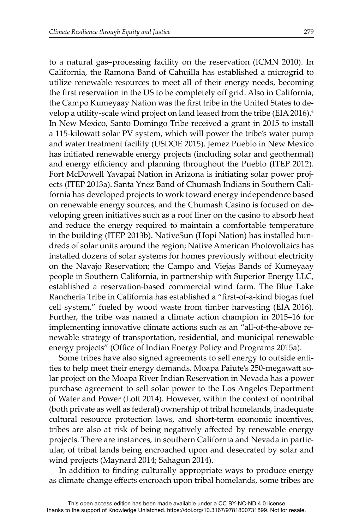to a natural gas–processing facility on the reservation (ICMN 2010). In California, the Ramona Band of Cahuilla has established a microgrid to utilize renewable resources to meet all of their energy needs, becoming the first reservation in the US to be completely off grid. Also in California, the Campo Kumeyaay Nation was the first tribe in the United States to develop a utility-scale wind project on land leased from the tribe (EIA 2016).<sup>4</sup> In New Mexico, Santo Domingo Tribe received a grant in 2015 to install a 115-kilowatt solar PV system, which will power the tribe's water pump and water treatment facility (USDOE 2015). Jemez Pueblo in New Mexico has initiated renewable energy projects (including solar and geothermal) and energy efficiency and planning throughout the Pueblo (ITEP 2012). Fort McDowell Yavapai Nation in Arizona is initiating solar power projects (ITEP 2013a). Santa Ynez Band of Chumash Indians in Southern California has developed projects to work toward energy independence based on renewable energy sources, and the Chumash Casino is focused on developing green initiatives such as a roof liner on the casino to absorb heat and reduce the energy required to maintain a comfortable temperature in the building (ITEP 2013b). NativeSun (Hopi Nation) has installed hundreds of solar units around the region; Native American Photovoltaics has installed dozens of solar systems for homes previously without electricity on the Navajo Reservation; the Campo and Viejas Bands of Kumeyaay people in Southern California, in partnership with Superior Energy LLC, established a reservation-based commercial wind farm. The Blue Lake Rancheria Tribe in California has established a "first-of-a-kind biogas fuel cell system," fueled by wood waste from timber harvesting (EIA 2016). Further, the tribe was named a climate action champion in 2015–16 for implementing innovative climate actions such as an "all-of-the-above renewable strategy of transportation, residential, and municipal renewable energy projects" (Office of Indian Energy Policy and Programs 2015a).

Some tribes have also signed agreements to sell energy to outside entities to help meet their energy demands. Moapa Paiute's 250-megawatt solar project on the Moapa River Indian Reservation in Nevada has a power purchase agreement to sell solar power to the Los Angeles Department of Water and Power (Lott 2014). However, within the context of nontribal (both private as well as federal) ownership of tribal homelands, inadequate cultural resource protection laws, and short-term economic incentives, tribes are also at risk of being negatively affected by renewable energy projects. There are instances, in southern California and Nevada in particular, of tribal lands being encroached upon and desecrated by solar and wind projects (Maynard 2014; Sahagun 2014).

In addition to finding culturally appropriate ways to produce energy as climate change effects encroach upon tribal homelands, some tribes are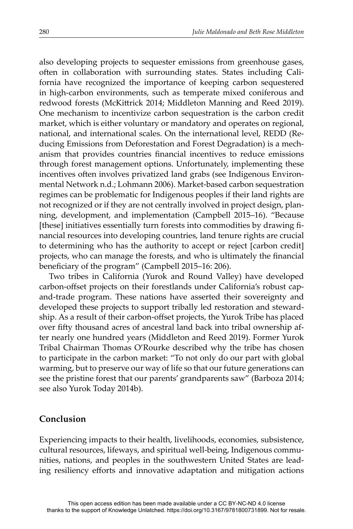also developing projects to sequester emissions from greenhouse gases, often in collaboration with surrounding states. States including California have recognized the importance of keeping carbon sequestered in high-carbon environments, such as temperate mixed coniferous and redwood forests (McKittrick 2014; Middleton Manning and Reed 2019). One mechanism to incentivize carbon sequestration is the carbon credit market, which is either voluntary or mandatory and operates on regional, national, and international scales. On the international level, REDD (Reducing Emissions from Deforestation and Forest Degradation) is a mechanism that provides countries financial incentives to reduce emissions through forest management options. Unfortunately, implementing these incentives often involves privatized land grabs (see Indigenous Environmental Network n.d.; Lohmann 2006). Market-based carbon sequestration regimes can be problematic for Indigenous peoples if their land rights are not recognized or if they are not centrally involved in project design, planning, development, and implementation (Campbell 2015–16). "Because [these] initiatives essentially turn forests into commodities by drawing financial resources into developing countries, land tenure rights are crucial to determining who has the authority to accept or reject [carbon credit] projects, who can manage the forests, and who is ultimately the financial beneficiary of the program" (Campbell 2015–16: 206).

Two tribes in California (Yurok and Round Valley) have developed carbon-offset projects on their forestlands under California's robust capand-trade program. These nations have asserted their sovereignty and developed these projects to support tribally led restoration and stewardship. As a result of their carbon-offset projects, the Yurok Tribe has placed over fifty thousand acres of ancestral land back into tribal ownership after nearly one hundred years (Middleton and Reed 2019). Former Yurok Tribal Chairman Thomas O'Rourke described why the tribe has chosen to participate in the carbon market: "To not only do our part with global warming, but to preserve our way of life so that our future generations can see the pristine forest that our parents' grandparents saw" (Barboza 2014; see also Yurok Today 2014b).

## **Conclusion**

Experiencing impacts to their health, livelihoods, economies, subsistence, cultural resources, lifeways, and spiritual well-being, Indigenous communities, nations, and peoples in the southwestern United States are leading resiliency efforts and innovative adaptation and mitigation actions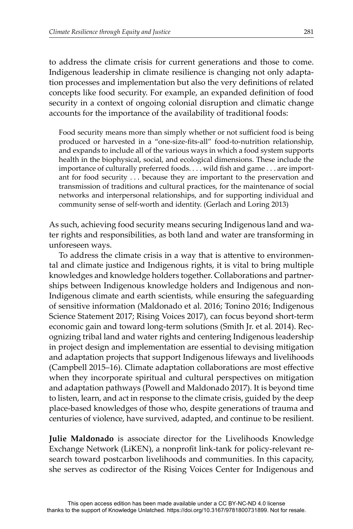to address the climate crisis for current generations and those to come. Indigenous leadership in climate resilience is changing not only adaptation processes and implementation but also the very definitions of related concepts like food security. For example, an expanded definition of food security in a context of ongoing colonial disruption and climatic change accounts for the importance of the availability of traditional foods:

Food security means more than simply whether or not sufficient food is being produced or harvested in a "one-size-fits-all" food-to-nutrition relationship, and expands to include all of the various ways in which a food system supports health in the biophysical, social, and ecological dimensions. These include the importance of culturally preferred foods. . . . wild fish and game . . . are important for food security . . . because they are important to the preservation and transmission of traditions and cultural practices, for the maintenance of social networks and interpersonal relationships, and for supporting individual and community sense of self-worth and identity. (Gerlach and Loring 2013)

As such, achieving food security means securing Indigenous land and water rights and responsibilities, as both land and water are transforming in unforeseen ways.

To address the climate crisis in a way that is attentive to environmental and climate justice and Indigenous rights, it is vital to bring multiple knowledges and knowledge holders together. Collaborations and partnerships between Indigenous knowledge holders and Indigenous and non-Indigenous climate and earth scientists, while ensuring the safeguarding of sensitive information (Maldonado et al. 2016; Tonino 2016; Indigenous Science Statement 2017; Rising Voices 2017), can focus beyond short-term economic gain and toward long-term solutions (Smith Jr. et al. 2014). Recognizing tribal land and water rights and centering Indigenous leadership in project design and implementation are essential to devising mitigation and adaptation projects that support Indigenous lifeways and livelihoods (Campbell 2015–16). Climate adaptation collaborations are most effective when they incorporate spiritual and cultural perspectives on mitigation and adaptation pathways (Powell and Maldonado 2017). It is beyond time to listen, learn, and act in response to the climate crisis, guided by the deep place-based knowledges of those who, despite generations of trauma and centuries of violence, have survived, adapted, and continue to be resilient.

**Julie Maldonado** is associate director for the Livelihoods Knowledge Exchange Network (LiKEN), a nonprofit link-tank for policy-relevant research toward postcarbon livelihoods and communities. In this capacity, she serves as codirector of the Rising Voices Center for Indigenous and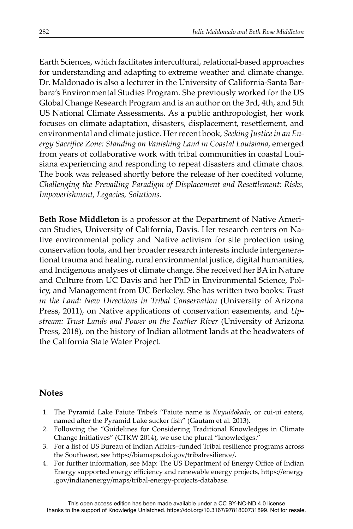Earth Sciences, which facilitates intercultural, relational-based approaches for understanding and adapting to extreme weather and climate change. Dr. Maldonado is also a lecturer in the University of California-Santa Barbara's Environmental Studies Program. She previously worked for the US Global Change Research Program and is an author on the 3rd, 4th, and 5th US National Climate Assessments. As a public anthropologist, her work focuses on climate adaptation, disasters, displacement, resettlement, and environmental and climate justice. Her recent book, *Seeking Justice in an En*ergy Sacrifice Zone: Standing on Vanishing Land in Coastal Louisiana, emerged from years of collaborative work with tribal communities in coastal Louisiana experiencing and responding to repeat disasters and climate chaos. The book was released shortly before the release of her coedited volume, *Challenging the Prevailing Paradigm of Displacement and Resettlement: Risks, Impoverishment, Legacies, Solutions*.

**Beth Rose Middleton** is a professor at the Department of Native American Studies, University of California, Davis. Her research centers on Native environmental policy and Native activism for site protection using conservation tools, and her broader research interests include intergenerational trauma and healing, rural environmental justice, digital humanities, and Indigenous analyses of climate change. She received her BA in Nature and Culture from UC Davis and her PhD in Environmental Science, Policy, and Management from UC Berkeley. She has written two books: *Trust in the Land: New Directions in Tribal Conservation* (University of Arizona Press, 2011), on Native applications of conservation easements, and *Upstream: Trust Lands and Power on the Feather River* (University of Arizona Press, 2018), on the history of Indian allotment lands at the headwaters of the California State Water Project.

## **Notes**

- 1. The Pyramid Lake Paiute Tribe's "Paiute name is *Kuyuidokado*, or cui-ui eaters, named after the Pyramid Lake sucker fish" (Gautam et al. 2013).
- 2. Following the "Guidelines for Considering Traditional Knowledges in Climate Change Initiatives" (CTKW 2014), we use the plural "knowledges."
- 3. For a list of US Bureau of Indian Affairs–funded Tribal resilience programs across the Southwest, see https://biamaps.doi.gov/tribalresilience/.
- 4. For further information, see Map: The US Department of Energy Office of Indian Energy supported energy efficiency and renewable energy projects, https://energy .gov/indianenergy/maps/tribal-energy-projects-database.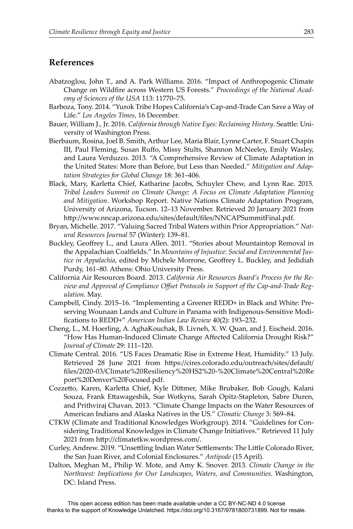#### **References**

- Abatzoglou, John T., and A. Park Williams. 2016. "Impact of Anthropogenic Climate Change on Wildfire across Western US Forests." *Proceedings of the National Academy of Sciences of the USA* 113: 11770–75.
- Barboza, Tony. 2014. "Yurok Tribe Hopes California's Cap-and-Trade Can Save a Way of Life." *Los Angeles Times*, 16 December.
- Bauer, William J., Jr. 2016. *California through Native Eyes: Reclaiming History*. Seattle: University of Washington Press.
- Bierbaum, Rosina, Joel B. Smith, Arthur Lee, Maria Blair, Lynne Carter, F. Stuart Chapin III, Paul Fleming, Susan Ruffo, Missy Stults, Shannon McNeeley, Emily Wasley, and Laura Verduzco. 2013. "A Comprehensive Review of Climate Adaptation in the United States: More than Before, but Less than Needed." *Mitigation and Adaptation Strategies for Global Change* 18: 361–406.
- Black, Mary, Karletta Chief, Katharine Jacobs, Schuyler Chew, and Lynn Rae. 2015. *Tribal Leaders Summit on Climate Change: A Focus on Climate Adaptation Planning and Mitigation*. Workshop Report. Native Nations Climate Adaptation Program, University of Arizona, Tucson. 12–13 November. Retrieved 20 January 2021 from http://www.nncap.arizona.edu/sites/default/files/NNCAPSummitFinal.pdf.
- Bryan, Michelle. 2017. "Valuing Sacred Tribal Waters within Prior Appropriation." *Natural Resources Journal* 57 (Winter): 139–81.
- Buckley, Geoffrey L., and Laura Allen. 2011. "Stories about Mountaintop Removal in the Appalachian Coalfields." In *Mountains of Injustice: Social and Environmental Justice in Appalachia,* edited by Michele Morrone, Geoffrey L. Buckley, and Jedidiah Purdy, 161–80. Athens: Ohio University Press.
- California Air Resources Board. 2013. *California Air Resources Board's Process for the Re*view and Approval of Compliance Offset Protocols in Support of the Cap-and-Trade Reg*ulation*. May.
- Campbell, Cindy. 2015–16. "Implementing a Greener REDD+ in Black and White: Preserving Wounaan Lands and Culture in Panama with Indigenous-Sensitive Modifi cations to REDD+" *American Indian Law Review* 40(2): 193–232.
- Cheng, L., M. Hoerling, A. AghaKouchak, B. Livneh, X. W. Quan, and J. Eischeid. 2016. "How Has Human-Induced Climate Change Affected California Drought Risk?" *Journal of Climate* 29: 111–120.
- Climate Central. 2016. "US Faces Dramatic Rise in Extreme Heat, Humidity." 13 July. Retrieved 28 June 2021 from https://cires.colorado.edu/outreach/sites/default/ fi les/2020-03/Climate%20Resiliency%20HS2%20-%20Climate%20Central%20Re port%20Denver%20Focused.pdf.
- Cozzetto, Karen, Karletta Chief, Kyle Dittmer, Mike Brubaker, Bob Gough, Kalani Souza, Frank Ettawageshik, Sue Wotkyns, Sarah Opitz-Stapleton, Sabre Duren, and Prithviraj Chavan. 2013. "Climate Change Impacts on the Water Resources of American Indians and Alaska Natives in the US." *Climatic Change* 3: 569–84.
- CTKW (Climate and Traditional Knowledges Workgroup). 2014. "Guidelines for Considering Traditional Knowledges in Climate Change Initiatives." Retrieved 11 July 2021 from http://climatetkw.wordpress.com/.
- Curley, Andrew. 2019. "Unsettling Indian Water Settlements: The Little Colorado River, the San Juan River, and Colonial Enclosures." *Antipode* (15 April).
- Dalton, Meghan M., Philip W. Mote, and Amy K. Snover. 2013. *Climate Change in the Northwest: Implications for Our Landscapes, Waters, and Communities*. Washington, DC: Island Press.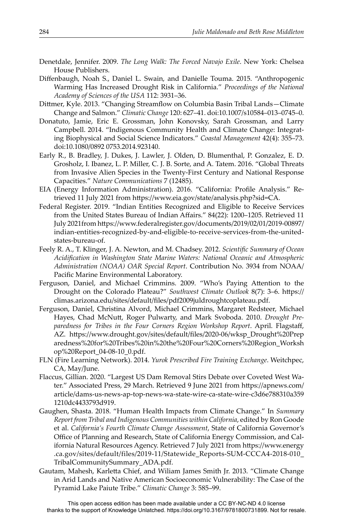- Denetdale, Jennifer. 2009. *The Long Walk: The Forced Navajo Exile*. New York: Chelsea House Publishers.
- Diffenbaugh, Noah S., Daniel L. Swain, and Danielle Touma. 2015. "Anthropogenic Warming Has Increased Drought Risk in California." *Proceedings of the National Academy of Sciences of the USA* 112: 3931–36.
- Dittmer, Kyle. 2013. "Changing Streamflow on Columbia Basin Tribal Lands-Climate Change and Salmon." *Climatic Change* 120: 627–41. doi:10.1007/s10584–013–0745–0.
- Donatuto, Jamie, Eric E. Grossman, John Konovsky, Sarah Grossman, and Larry Campbell. 2014. "Indigenous Community Health and Climate Change: Integrating Biophysical and Social Science Indicators." *Coastal Management* 42(4): 355–73. doi:10.1080/0892 0753.2014.923140.
- Early R., B. Bradley, J. Dukes, J. Lawler, J. Olden, D. Blumenthal, P. Gonzalez, E. D. Grosholz, I. Ibanez, L. P. Miller, C. J. B. Sorte, and A. Tatem. 2016. "Global Threats from Invasive Alien Species in the Twenty-First Century and National Response Capacities." *Nature Communications* 7 (12485).
- EIA (Energy Information Administration). 2016. "California: Profile Analysis." Retrieved 11 July 2021 from https://www.eia.gov/state/analysis.php?sid=CA.
- Federal Register. 2019. "Indian Entities Recognized and Eligible to Receive Services from the United States Bureau of Indian Affairs." 84(22): 1200–1205. Retrieved 11 July 2021from https://www.federalregister.gov/documents/2019/02/01/2019-00897/ indian-entities-recognized-by-and-eligible-to-receive-services-from-the-unitedstates-bureau-of.
- Feely R. A., T. Klinger, J. A. Newton, and M. Chadsey. 2012. *Scientific Summary of Ocean Acidifi cation in Washington State Marine Waters: National Oceanic and Atmospheric Administration (NOAA) OAR Special Report*. Contribution No. 3934 from NOAA/ Pacific Marine Environmental Laboratory.
- Ferguson, Daniel, and Michael Crimmins. 2009. "Who's Paying Attention to the Drought on the Colorado Plateau?" Southwest Climate Outlook 8(7): 3-6. https:// climas.arizona.edu/sites/default/files/pdf2009juldroughtcoplateau.pdf.
- Ferguson, Daniel, Christina Alvord, Michael Crimmins, Margaret Redsteer, Michael Hayes, Chad McNutt, Roger Pulwarty, and Mark Svoboda. 2010. *Drought Preparedness for Tribes in the Four Corners Region Workshop Report. April. Flagstaff,* AZ. https://www.drought.gov/sites/default/files/2020-06/wksp\_Drought%20Prep aredness%20for%20Tribes%20in%20the%20Four%20Corners%20Region\_Worksh op%20Report\_04-08-10\_0.pdf.
- FLN (Fire Learning Network). 2014. *Yurok Prescribed Fire Training Exchange*. Weitchpec, CA, May/June.
- Flaccus, Gillian. 2020. "Largest US Dam Removal Stirs Debate over Coveted West Water." Associated Press, 29 March. Retrieved 9 June 2021 from https://apnews.com/ article/dams-us-news-ap-top-news-wa-state-wire-ca-state-wire-c3d6e788310a359 1210dc4433793d919.
- Gaughen, Shasta. 2018. "Human Health Impacts from Climate Change." In *Summary Report from Tribal and Indigenous Communities within California*, edited by Ron Goode et al. *California's Fourth Climate Change Assessment*, State of California Governor's Office of Planning and Research, State of California Energy Commission, and California Natural Resources Agency. Retrieved 7 July 2021 from https://www.energy .ca.gov/sites/default/files/2019-11/Statewide\_Reports-SUM-CCCA4-2018-010\_ TribalCommunitySummary\_ADA.pdf.
- Gautam, Mahesh, Karletta Chief, and Wiliam James Smith Jr. 2013. "Climate Change in Arid Lands and Native American Socioeconomic Vulnerability: The Case of the Pyramid Lake Paiute Tribe." *Climatic Change* 3: 585–99.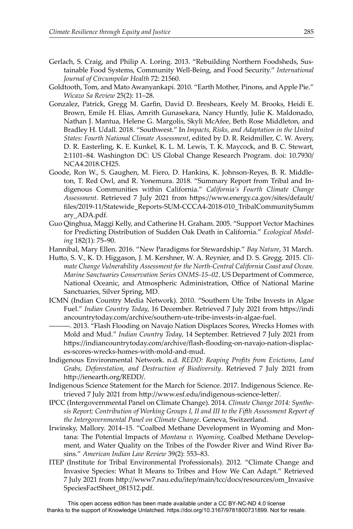- Gerlach, S. Craig, and Philip A. Loring. 2013. "Rebuilding Northern Foodsheds, Sustainable Food Systems, Community Well-Being, and Food Security." *International Journal of Circumpolar Health* 72: 21560.
- Goldtooth, Tom, and Mato Awanyankapi. 2010. "Earth Mother, Pinons, and Apple Pie." *Wicazo Sa Review* 25(2): 11–28.
- Gonzalez, Patrick, Gregg M. Garfin, David D. Breshears, Keely M. Brooks, Heidi E. Brown, Emile H. Elias, Amrith Gunasekara, Nancy Huntly, Julie K. Maldonado, Nathan J. Mantua, Helene G. Margolis, Skyli McAfee, Beth Rose Middleton, and Bradley H. Udall. 2018. "Southwest." In *Impacts, Risks, and Adaptation in the United States: Fourth National Climate Assessment*, edited by D. R. Reidmiller, C. W. Avery, D. R. Easterling, K. E. Kunkel, K. L. M. Lewis, T. K. Maycock, and B. C. Stewart, 2:1101–84. Washington DC: US Global Change Research Program. doi: 10.7930/ NCA4.2018.CH25.
- Goode, Ron W., S. Gaughen, M. Fiero, D. Hankins, K. Johnson-Reyes, B. R. Middleton, T. Red Owl, and R. Yonemura. 2018. "Summary Report from Tribal and Indigenous Communities within California." *California's Fourth Climate Change*  Assessment. Retrieved 7 July 2021 from https://www.energy.ca.gov/sites/default/ fi les/2019-11/Statewide\_Reports-SUM-CCCA4-2018-010\_TribalCommunitySumm ary\_ADA.pdf*.*
- Guo Qinghua, Maggi Kelly, and Catherine H. Graham. 2005. "Support Vector Machines for Predicting Distribution of Sudden Oak Death in California." *Ecological Modeling* 182(1): 75–90.
- Hannibal, Mary Ellen. 2016. "New Paradigms for Stewardship." *Bay Nature*, 31 March.
- Hutto, S. V., K. D. Higgason, J. M. Kershner, W. A. Reynier, and D. S. Gregg. 2015. *Climate Change Vulnerability Assessment for the North-Central California Coast and Ocean. Marine Sanctuaries Conservation Series ONMS-15–02*. US Department of Commerce, National Oceanic, and Atmospheric Administration, Office of National Marine Sanctuaries, Silver Spring, MD.
- ICMN (Indian Country Media Network). 2010. "Southern Ute Tribe Invests in Algae Fuel." *Indian Country Today*, 16 December. Retrieved 7 July 2021 from https://indi ancountrytoday.com/archive/southern-ute-tribe-invests-in-algae-fuel.
	- ———. 2013. "Flash Flooding on Navajo Nation Displaces Scores, Wrecks Homes with Mold and Mud." *Indian Country Today*, 14 September. Retrieved 7 July 2021 from https://indiancountrytoday.com/archive/flash-flooding-on-navajo-nation-displaces-scores-wrecks-homes-with-mold-and-mud.
- Indigenous Environmental Network. n.d. *REDD: Reaping Profits from Evictions, Land Grabs, Deforestation, and Destruction of Biodiversity*. Retrieved 7 July 2021 from http://ienearth.org/REDD/.
- Indigenous Science Statement for the March for Science. 2017. Indigenous Science. Retrieved 7 July 2021 from http://www.esf.edu/indigenous-science-letter/.
- IPCC (Intergovernmental Panel on Climate Change). 2014. *Climate Change 2014: Synthesis Report; Contribution of Working Groups I, II and III to the FiĞ h Assessment Report of the Intergovernmental Panel on Climate Change*. Geneva, Switzerland.
- Irwinsky, Mallory. 2014–15. "Coalbed Methane Development in Wyoming and Montana: The Potential Impacts of *Montana v. Wyoming*, Coalbed Methane Development, and Water Quality on the Tribes of the Powder River and Wind River Basins." *American Indian Law Review* 39(2): 553–83.
- ITEP (Institute for Tribal Environmental Professionals). 2012*.* "Climate Change and Invasive Species: What It Means to Tribes and How We Can Adapt." Retrieved 7 July 2021 from http://www7.nau.edu/itep/main/tcc/docs/resources/om\_Invasive SpeciesFactSheet\_081512.pdf.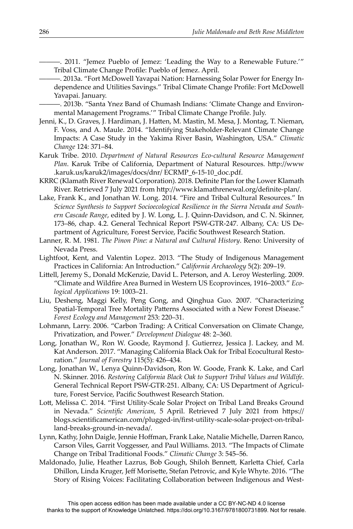———. 2011. "Jemez Pueblo of Jemez: 'Leading the Way to a Renewable Future.'" Tribal Climate Change Profile: Pueblo of Jemez. April.

———. 2013a. "Fort McDowell Yavapai Nation: Harnessing Solar Power for Energy Independence and Utilities Savings." Tribal Climate Change Profile: Fort McDowell Yavapai. January.

-. 2013b. "Santa Ynez Band of Chumash Indians: 'Climate Change and Environmental Management Programs.'" Tribal Climate Change Profile. July.

- Jenni, K., D. Graves, J. Hardiman, J. Hatten, M. Mastin, M. Mesa, J. Montag, T. Nieman, F. Voss, and A. Maule. 2014. "Identifying Stakeholder-Relevant Climate Change Impacts: A Case Study in the Yakima River Basin, Washington, USA." *Climatic Change* 124: 371–84.
- Karuk Tribe. 2010. *Department of Natural Resources Eco-cultural Resource Management Plan*. Karuk Tribe of California, Department of Natural Resources. http://www. .karuk.us/karuk2/images/docs/dnr/ ECRMP\_6-15-10\_doc.pdf.
- KRRC (Klamath River Renewal Corporation). 2018. Definite Plan for the Lower Klamath River. Retrieved 7 July 2021 from http://www.klamathrenewal.org/definite-plan/.
- Lake, Frank K., and Jonathan W. Long. 2014. "Fire and Tribal Cultural Resources." In *Science Synthesis to Support Socioecological Resilience in the Sierra Nevada and Southern Cascade Range*, edited by J. W. Long, L. J. Quinn-Davidson, and C. N. Skinner, 173–86, chap. 4.2. General Technical Report PSW-GTR-247. Albany, CA: US Department of Agriculture, Forest Service, Pacific Southwest Research Station.
- Lanner, R. M. 1981. *The Pinon Pine: a Natural and Cultural History*. Reno: University of Nevada Press.
- Lightfoot, Kent, and Valentin Lopez. 2013. "The Study of Indigenous Management Practices in California: An Introduction." *California Archaeology* 5(2): 209–19.
- Littell, Jeremy S., Donald McKenzie, David L. Peterson, and A. Leroy Westerling. 2009. "Climate and Wildfire Area Burned in Western US Ecoprovinces, 1916–2003." *Ecological Applications* 19: 1003–21.
- Liu, Desheng, Maggi Kelly, Peng Gong, and Qinghua Guo. 2007. "Characterizing Spatial-Temporal Tree Mortality Patterns Associated with a New Forest Disease." *Forest Ecology and Management* 253: 220–31.
- Lohmann, Larry. 2006. "Carbon Trading: A Critical Conversation on Climate Change, Privatization, and Power." *Development Dialogue* 48: 2–360.
- Long, Jonathan W., Ron W. Goode, Raymond J. Gutierrez, Jessica J. Lackey, and M. Kat Anderson. 2017. "Managing California Black Oak for Tribal Ecocultural Restoration." *Journal of Forestry* 115(5): 426–434.
- Long, Jonathan W., Lenya Quinn-Davidson, Ron W. Goode, Frank K. Lake, and Carl N. Skinner. 2016. *Restoring California Black Oak to Support Tribal Values and Wildlife*. General Technical Report PSW-GTR-251. Albany, CA: US Department of Agriculture, Forest Service, Pacific Southwest Research Station.
- Lott, Melissa C. 2014. "First Utility-Scale Solar Project on Tribal Land Breaks Ground in Nevada." *Scientific American*, 5 April. Retrieved 7 July 2021 from https:// blogs.scientificamerican.com/plugged-in/first-utility-scale-solar-project-on-triballand-breaks-ground-in-nevada/.
- Lynn, Kathy, John Daigle, Jennie Hoffman, Frank Lake, Natalie Michelle, Darren Ranco, Carson Viles, Garrit Voggesser, and Paul Williams. 2013. "The Impacts of Climate Change on Tribal Traditional Foods." *Climatic Change* 3: 545–56.
- Maldonado, Julie, Heather Lazrus, Bob Gough, Shiloh Bennett, Karletta Chief, Carla Dhillon, Linda Kruger, Jeff Morisette, Stefan Petrovic, and Kyle Whyte. 2016. "The Story of Rising Voices: Facilitating Collaboration between Indigenous and West-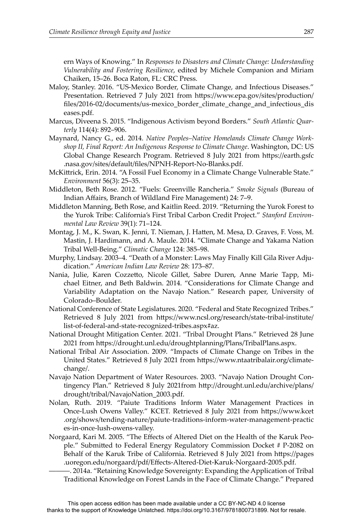ern Ways of Knowing." In *Responses to Disasters and Climate Change: Understanding Vulnerability and Fostering Resilience*, edited by Michele Companion and Miriam Chaiken, 15–26. Boca Raton, FL: CRC Press.

- Maloy, Stanley. 2016. "US-Mexico Border, Climate Change, and Infectious Diseases." Presentation. Retrieved 7 July 2021 from https://www.epa.gov/sites/production/ fi les/2016-02/documents/us-mexico\_border\_climate\_change\_and\_infectious\_dis eases.pdf.
- Marcus, Diveena S. 2015. "Indigenous Activism beyond Borders." *South Atlantic Quarterly* 114(4): 892–906.
- Maynard, Nancy G., ed. 2014. *Native Peoples–Native Homelands Climate Change Workshop II, Final Report: An Indigenous Response to Climate Change*. Washington, DC: US Global Change Research Program. Retrieved 8 July 2021 from https://earth.gsfc .nasa.gov/sites/default/files/NPNH-Report-No-Blanks.pdf.
- McKittrick, Erin. 2014. "A Fossil Fuel Economy in a Climate Change Vulnerable State." *Environment* 56(3): 25–35.
- Middleton, Beth Rose. 2012. "Fuels: Greenville Rancheria." *Smoke Signals* (Bureau of Indian Affairs, Branch of Wildland Fire Management) 24: 7-9.
- Middleton Manning, Beth Rose, and Kaitlin Reed. 2019. "Returning the Yurok Forest to the Yurok Tribe: California's First Tribal Carbon Credit Project." *Stanford Environmental Law Review* 39(1): 71–124.
- Montag, J. M., K. Swan, K. Jenni, T. Nieman, J. Hatten, M. Mesa, D. Graves, F. Voss, M. Mastin, J. Hardimann, and A. Maule. 2014. "Climate Change and Yakama Nation Tribal Well-Being." *Climatic Change* 124: 385–98.
- Murphy, Lindsay. 2003–4. "Death of a Monster: Laws May Finally Kill Gila River Adjudication." *American Indian Law Review* 28: 173–87.
- Nania, Julie, Karen Cozzetto, Nicole Gillet, Sabre Duren, Anne Marie Tapp, Michael Eitner, and Beth Baldwin. 2014. "Considerations for Climate Change and Variability Adaptation on the Navajo Nation." Research paper, University of Colorado–Boulder.
- National Conference of State Legislatures. 2020. "Federal and State Recognized Tribes." Retrieved 8 July 2021 from https://www.ncsl.org/research/state-tribal-institute/ list-of-federal-and-state-recognized-tribes.aspx#az.
- National Drought Mitigation Center. 2021. "Tribal Drought Plans." Retrieved 28 June 2021 from https://drought.unl.edu/droughtplanning/Plans/TribalPlans.aspx.
- National Tribal Air Association. 2009. "Impacts of Climate Change on Tribes in the United States." Retrieved 8 July 2021 from https://www.ntaatribalair.org/climatechange/.
- Navajo Nation Department of Water Resources. 2003. "Navajo Nation Drought Contingency Plan." Retrieved 8 July 2021from http://drought.unl.edu/archive/plans/ drought/tribal/NavajoNation\_2003.pdf.
- Nolan, Ruth. 2019. "Paiute Traditions Inform Water Management Practices in Once-Lush Owens Valley." KCET. Retrieved 8 July 2021 from https://www.kcet .org/shows/tending-nature/paiute-traditions-inform-water-management-practic es-in-once-lush-owens-valley.
- Norgaard, Kari M. 2005. "The Effects of Altered Diet on the Health of the Karuk People." Submitted to Federal Energy Regulatory Commission Docket # P-2082 on Behalf of the Karuk Tribe of California. Retrieved 8 July 2021 from https://pages .uoregon.edu/norgaard/pdf/Effects-Altered-Diet-Karuk-Norgaard-2005.pdf.

———. 2014a. "Retaining Knowledge Sovereignty: Expanding the Application of Tribal Traditional Knowledge on Forest Lands in the Face of Climate Change." Prepared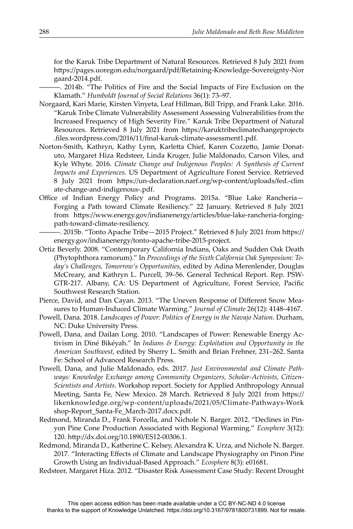for the Karuk Tribe Department of Natural Resources. Retrieved 8 July 2021 from https://pages.uoregon.edu/norgaard/pdf/Retaining-Knowledge-Sovereignty-Nor gaard-2014.pdf.

———. 2014b. "The Politics of Fire and the Social Impacts of Fire Exclusion on the Klamath." *Humboldt Journal of Social Relations* 36(1): 73–97.

- Norgaard, Kari Marie, Kirsten Vinyeta, Leaf Hillman, Bill Tripp, and Frank Lake. 2016. "Karuk Tribe Climate Vulnerability Assessment Assessing Vulnerabilities from the Increased Frequency of High Severity Fire." Karuk Tribe Department of Natural Resources. Retrieved 8 July 2021 from https://karuktribeclimatechangeprojects .files.wordpress.com/2016/11/final-karuk-climate-assessment1.pdf.
- Norton-Smith, Kathryn, Kathy Lynn, Karletta Chief, Karen Cozzetto, Jamie Donatuto, Margaret Hiza Redsteer, Linda Kruger, Julie Maldonado, Carson Viles, and Kyle Whyte. 2016. *Climate Change and Indigenous Peoples: A Synthesis of Current Impacts and Experiences*. US Department of Agriculture Forest Service. Retrieved 8 July 2021 from https://un-declaration.narf.org/wp-content/uploads/fed.-clim ate-change-and-indigenous-.pdf.
- Office of Indian Energy Policy and Programs. 2015a. "Blue Lake Rancheria-Forging a Path toward Climate Resiliency." 22 January. Retrieved 8 July 2021 from https://www.energy.gov/indianenergy/articles/blue-lake-rancheria-forgingpath-toward-climate-resiliency.
- -. 2015b. "Tonto Apache Tribe-2015 Project." Retrieved 8 July 2021 from https:// energy.gov/indianenergy/tonto-apache-tribe-2015-project.
- Ortiz Beverly. 2008. "Contemporary California Indians, Oaks and Sudden Oak Death (Phytophthora ramorum)." In *Proceedings of the Sixth California Oak Symposium: Today's Challenges, Tomorrow's Opportunities*, edited by Adina Merenlender, Douglas McCreary, and Kathryn L. Purcell, 39–56. General Technical Report. Rep. PSW-GTR-217. Albany, CA: US Department of Agriculture, Forest Service, Pacific Southwest Research Station.
- Pierce, David, and Dan Cayan. 2013. "The Uneven Response of Different Snow Measures to Human-Induced Climate Warming." *Journal of Climate* 26(12): 4148–4167.
- Powell, Dana. 2018. *Landscapes of Power: Politics of Energy in the Navajo Nation*. Durham, NC: Duke University Press.
- Powell, Dana, and Dailan Long. 2010. "Landscapes of Power: Renewable Energy Activism in Diné Bikéyah." In *Indians & Energy: Exploitation and Opportunity in the American Southwest*, edited by Sherry L. Smith and Brian Frehner, 231–262. Santa Fe: School of Advanced Research Press.
- Powell, Dana, and Julie Maldonado, eds. 2017. *Just Environmental and Climate Pathways: Knowledge Exchange among Community Organizers, Scholar-Activists, Citizen-Scientists and Artists*. Workshop report. Society for Applied Anthropology Annual Meeting, Santa Fe, New Mexico. 28 March. Retrieved 8 July 2021 from https:// likenknowledge.org/wp-content/uploads/2021/05/Climate-Pathways-Work shop-Report\_Santa-Fe\_March-2017.docx.pdf.
- Redmond, Miranda D., Frank Forcella, and Nichole N. Barger. 2012. "Declines in Pinyon Pine Cone Production Associated with Regional Warming." *Ecosphere* 3(12): 120. http://dx.doi.org/10.1890/ES12-00306.1.
- Redmond, Miranda D., Katherine C. Kelsey, Alexandra K. Urza, and Nichole N. Barger. 2017. "Interacting Effects of Climate and Landscape Physiography on Pinon Pine Growth Using an Individual-Based Approach." *Ecosphere* 8(3): e01681.
- Redsteer, Margaret Hiza. 2012. "Disaster Risk Assessment Case Study: Recent Drought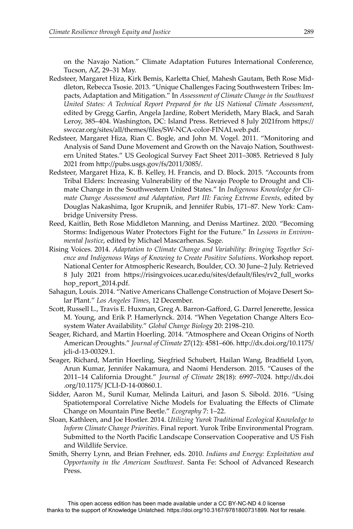on the Navajo Nation." Climate Adaptation Futures International Conference, Tucson, AZ, 29–31 May.

- Redsteer, Margaret Hiza, Kirk Bemis, Karletta Chief, Mahesh Gautam, Beth Rose Middleton, Rebecca Tsosie. 2013. "Unique Challenges Facing Southwestern Tribes: Impacts, Adaptation and Mitigation." In *Assessment of Climate Change in the Southwest United States: A Technical Report Prepared for the US National Climate Assessment*, edited by Gregg Garfin, Angela Jardine, Robert Merideth, Mary Black, and Sarah Leroy, 385–404. Washington, DC: Island Press. Retrieved 8 July 2021from https:// swccar.org/sites/all/themes/files/SW-NCA-color-FINALweb.pdf.
- Redsteer, Margaret Hiza, Rian C. Bogle, and John M. Vogel. 2011. "Monitoring and Analysis of Sand Dune Movement and Growth on the Navajo Nation, Southwestern United States." US Geological Survey Fact Sheet 2011–3085. Retrieved 8 July 2021 from http://pubs.usgs.gov/fs/2011/3085/.
- Redsteer, Margaret Hiza, K. B. Kelley, H. Francis, and D. Block. 2015. "Accounts from Tribal Elders: Increasing Vulnerability of the Navajo People to Drought and Climate Change in the Southwestern United States." In *Indigenous Knowledge for Climate Change Assessment and Adaptation, Part III: Facing Extreme Events*, edited by Douglas Nakashima, Igor Krupnik, and Jennifer Rubis, 171–87. New York: Cambridge University Press.
- Reed, Kaitlin, Beth Rose Middleton Manning, and Deniss Martinez. 2020. "Becoming Storms: Indigenous Water Protectors Fight for the Future." In *Lessons in Environmental Justice*, edited by Michael Mascarhenas. Sage.
- Rising Voices. 2014. *Adaptation to Climate Change and Variability: Bringing Together Science and Indigenous Ways of Knowing to Create Positive Solutions*. Workshop report. National Center for Atmospheric Research, Boulder, CO. 30 June–2 July. Retrieved 8 July 2021 from https://risingvoices.ucar.edu/sites/default/files/rv2\_full\_works hop\_report\_2014.pdf.
- Sahagun, Louis. 2014. "Native Americans Challenge Construction of Mojave Desert Solar Plant." *Los Angeles Times*, 12 December.
- Scott, Russell L., Travis E. Huxman, Greg A. Barron-Gafford, G. Darrel Jenerette, Jessica M. Young, and Erik P. Hamerlynck. 2014. "When Vegetation Change Alters Ecosystem Water Availability." *Global Change Biology* 20: 2198–210.
- Seager, Richard, and Martin Hoerling. 2014. "Atmosphere and Ocean Origins of North American Droughts." *Journal of Climate 27(12)*: 4581-606. http://dx.doi.org/10.1175/ jcli-d-13-00329.1.
- Seager, Richard, Martin Hoerling, Siegfried Schubert, Hailan Wang, Bradfield Lyon, Arun Kumar, Jennifer Nakamura, and Naomi Henderson. 2015. "Causes of the 2011–14 California Drought." *Journal of Climate* 28(18): 6997–7024. http://dx.doi .org/10.1175/ JCLI-D-14-00860.1.
- Sidder, Aaron M., Sunil Kumar, Melinda Laituri, and Jason S. Sibold. 2016. "Using Spatiotemporal Correlative Niche Models for Evaluating the Effects of Climate Change on Mountain Pine Beetle." *Ecography* 7: 1–22.
- Sloan, Kathleen, and Joe Hostler. 2014. *Utilizing Yurok Traditional Ecological Knowledge to Inform Climate Change Priorities*. Final report. Yurok Tribe Environmental Program. Submitted to the North Pacific Landscape Conservation Cooperative and US Fish and Wildlife Service.
- Smith, Sherry Lynn, and Brian Frehner, eds. 2010. *Indians and Energy: Exploitation and Opportunity in the American Southwest*. Santa Fe: School of Advanced Research Press.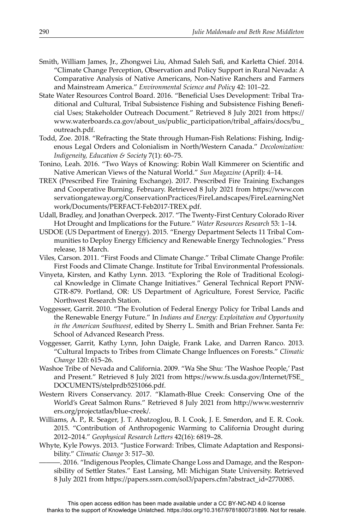- Smith, William James, Jr., Zhongwei Liu, Ahmad Saleh Safi, and Karletta Chief. 2014. "Climate Change Perception, Observation and Policy Support in Rural Nevada: A Comparative Analysis of Native Americans, Non-Native Ranchers and Farmers and Mainstream America." *Environmental Science and Policy* 42: 101–22.
- State Water Resources Control Board. 2016. "Beneficial Uses Development: Tribal Traditional and Cultural, Tribal Subsistence Fishing and Subsistence Fishing Benefi cial Uses; Stakeholder Outreach Document." Retrieved 8 July 2021 from https:// www.waterboards.ca.gov/about\_us/public\_participation/tribal\_aff airs/docs/bu\_ outreach.pdf.
- Todd, Zoe. 2018. "Refracting the State through Human-Fish Relations: Fishing, Indigenous Legal Orders and Colonialism in North/Western Canada." *Decolonization: Indigeneity, Education & Society* 7(1): 60–75.
- Tonino, Leah. 2016. "Two Ways of Knowing: Robin Wall Kimmerer on Scientific and Native American Views of the Natural World." *Sun Magazine* (April): 4–14.
- TREX (Prescribed Fire Training Exchange). 2017. Prescribed Fire Training Exchanges and Cooperative Burning. February. Retrieved 8 July 2021 from https://www.con servationgateway.org/ConservationPractices/FireLandscapes/FireLearningNet work/Documents/PERFACT-Feb2017-TREX.pdf.
- Udall, Bradley, and Jonathan Overpeck. 2017. "The Twenty-First Century Colorado River Hot Drought and Implications for the Future." *Water Resources Research* 53: 1–14.
- USDOE (US Department of Energy). 2015. "Energy Department Selects 11 Tribal Communities to Deploy Energy Efficiency and Renewable Energy Technologies." Press release, 18 March.
- Viles, Carson. 2011. "First Foods and Climate Change." Tribal Climate Change Profile: First Foods and Climate Change. Institute for Tribal Environmental Professionals.
- Vinyeta, Kirsten, and Kathy Lynn. 2013. "Exploring the Role of Traditional Ecological Knowledge in Climate Change Initiatives." General Technical Report PNW-GTR-879. Portland, OR: US Department of Agriculture, Forest Service, Pacific Northwest Research Station.
- Voggesser, Garrit. 2010. "The Evolution of Federal Energy Policy for Tribal Lands and the Renewable Energy Future." In *Indians and Energy: Exploitation and Opportunity in the American Southwest*, edited by Sherry L. Smith and Brian Frehner. Santa Fe: School of Advanced Research Press.
- Voggesser, Garrit, Kathy Lynn, John Daigle, Frank Lake, and Darren Ranco. 2013. "Cultural Impacts to Tribes from Climate Change Infl uences on Forests." *Climatic Change* 120: 615–26.
- Washoe Tribe of Nevada and California. 2009. "Wa She Shu: 'The Washoe People,' Past and Present." Retrieved 8 July 2021 from https://www.fs.usda.gov/Internet/FSE\_ DOCUMENTS/stelprdb5251066.pdf.
- Western Rivers Conservancy. 2017. "Klamath-Blue Creek: Conserving One of the World's Great Salmon Runs." Retrieved 8 July 2021 from http://www.westernriv ers.org/projectatlas/blue-creek/.
- Williams, A. P., R. Seager, J. T. Abatzoglou, B. I. Cook, J. E. Smerdon, and E. R. Cook. 2015. "Contribution of Anthropogenic Warming to California Drought during 2012–2014." *Geophysical Research Letters* 42(16): 6819–28.
- Whyte, Kyle Powys. 2013. "Justice Forward: Tribes, Climate Adaptation and Responsibility." *Climatic Change* 3: 517–30.
	- ———. 2016. "Indigenous Peoples, Climate Change Loss and Damage, and the Responsibility of Settler States." East Lansing, MI: Michigan State University. Retrieved 8 July 2021 from https://papers.ssrn.com/sol3/papers.cfm?abstract\_id=2770085.